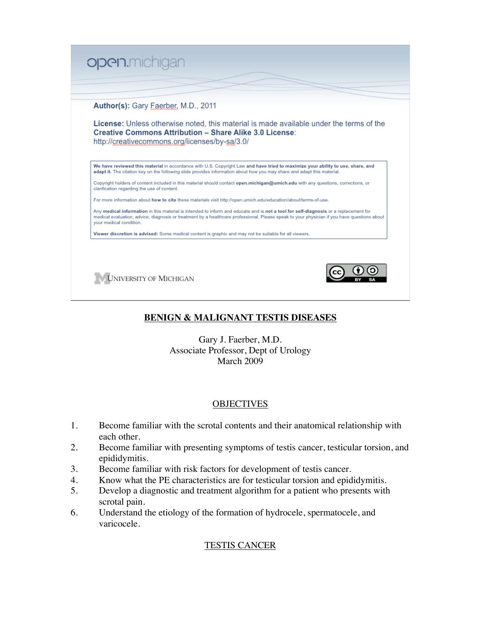

# **BENIGN & MALIGNANT TESTIS DISEASES**

Gary J. Faerber, M.D. Associate Professor, Dept of Urology March 2009

# **OBJECTIVES**

- 1. Become familiar with the scrotal contents and their anatomical relationship with each other.
- 2. Become familiar with presenting symptoms of testis cancer, testicular torsion, and epididymitis.
- 3. Become familiar with risk factors for development of testis cancer.
- 4. Know what the PE characteristics are for testicular torsion and epididymitis.
- 5. Develop a diagnostic and treatment algorithm for a patient who presents with scrotal pain.
- 6. Understand the etiology of the formation of hydrocele, spermatocele, and varicocele.

# TESTIS CANCER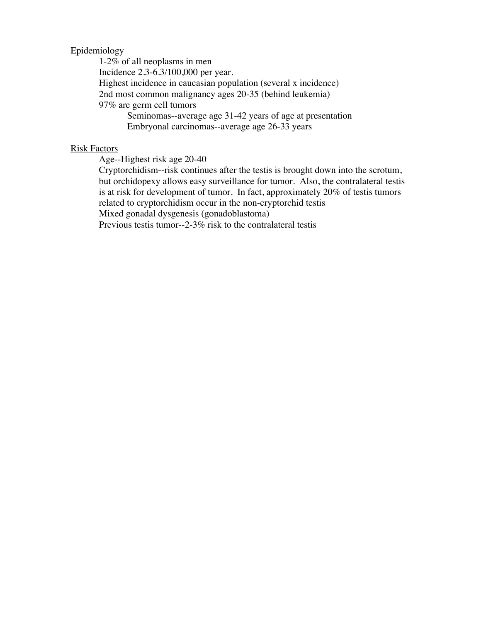## Epidemiology

1-2% of all neoplasms in men Incidence 2.3-6.3/100,000 per year. Highest incidence in caucasian population (several x incidence) 2nd most common malignancy ages 20-35 (behind leukemia) 97% are germ cell tumors Seminomas--average age 31-42 years of age at presentation Embryonal carcinomas--average age 26-33 years

### Risk Factors

Age--Highest risk age 20-40

Cryptorchidism--risk continues after the testis is brought down into the scrotum, but orchidopexy allows easy surveillance for tumor. Also, the contralateral testis is at risk for development of tumor. In fact, approximately 20% of testis tumors related to cryptorchidism occur in the non-cryptorchid testis

Mixed gonadal dysgenesis (gonadoblastoma)

Previous testis tumor--2-3% risk to the contralateral testis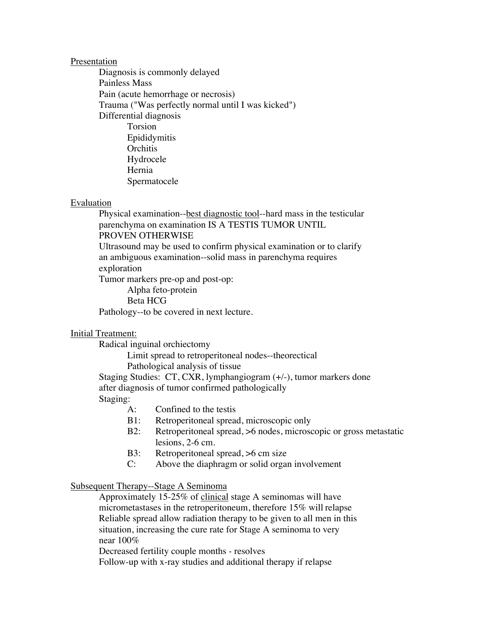#### Presentation

Diagnosis is commonly delayed Painless Mass Pain (acute hemorrhage or necrosis) Trauma ("Was perfectly normal until I was kicked") Differential diagnosis Torsion Epididymitis **Orchitis** Hydrocele Hernia Spermatocele

#### Evaluation

Physical examination--best diagnostic tool--hard mass in the testicular parenchyma on examination IS A TESTIS TUMOR UNTIL PROVEN OTHERWISE Ultrasound may be used to confirm physical examination or to clarify an ambiguous examination--solid mass in parenchyma requires exploration Tumor markers pre-op and post-op:

Alpha feto-protein Beta HCG Pathology--to be covered in next lecture.

#### Initial Treatment:

Radical inguinal orchiectomy

Limit spread to retroperitoneal nodes--theorectical

Pathological analysis of tissue

Staging Studies: CT, CXR, lymphangiogram (+/-), tumor markers done after diagnosis of tumor confirmed pathologically Staging:

- A: Confined to the testis
- B1: Retroperitoneal spread, microscopic only
- B2: Retroperitoneal spread, >6 nodes, microscopic or gross metastatic lesions, 2-6 cm.
- B3: Retroperitoneal spread, >6 cm size
- C: Above the diaphragm or solid organ involvement

# Subsequent Therapy--Stage A Seminoma

Approximately 15-25% of clinical stage A seminomas will have micrometastases in the retroperitoneum, therefore 15% will relapse Reliable spread allow radiation therapy to be given to all men in this situation, increasing the cure rate for Stage A seminoma to very near 100%

Decreased fertility couple months - resolves

Follow-up with x-ray studies and additional therapy if relapse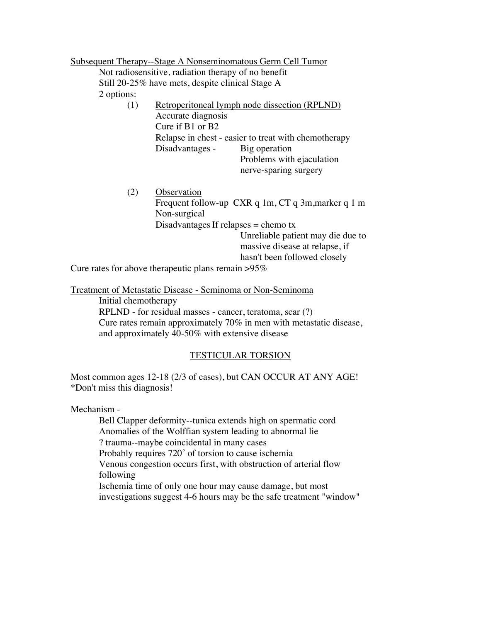|                                                        | Subsequent Therapy--Stage A Nonseminomatous Germ Cell Tumor                                                                                                                                                                |
|--------------------------------------------------------|----------------------------------------------------------------------------------------------------------------------------------------------------------------------------------------------------------------------------|
|                                                        | Not radiosensitive, radiation therapy of no benefit                                                                                                                                                                        |
|                                                        | Still 20-25% have mets, despite clinical Stage A                                                                                                                                                                           |
| 2 options:                                             |                                                                                                                                                                                                                            |
| (1)                                                    | Retroperitoneal lymph node dissection (RPLND)<br>Accurate diagnosis<br>Cure if B1 or B2                                                                                                                                    |
|                                                        | Relapse in chest - easier to treat with chemotherapy<br>Disadvantages -<br>Big operation<br>Problems with ejaculation<br>nerve-sparing surgery                                                                             |
| (2)                                                    | Observation<br>Frequent follow-up CXR q 1m, CT q 3m, marker q 1 m<br>Non-surgical<br>Disadvantages If relapses = $\frac{\text{chemo tx}}{\text{A}}$<br>Unreliable patient may die due to<br>massive disease at relapse, if |
|                                                        | hasn't been followed closely                                                                                                                                                                                               |
| Cure rates for above the rapeutic plans remain $>95\%$ |                                                                                                                                                                                                                            |

Treatment of Metastatic Disease - Seminoma or Non-Seminoma

Initial chemotherapy RPLND - for residual masses - cancer, teratoma, scar (?) Cure rates remain approximately 70% in men with metastatic disease, and approximately 40-50% with extensive disease

# TESTICULAR TORSION

Most common ages 12-18 (2/3 of cases), but CAN OCCUR AT ANY AGE! \*Don't miss this diagnosis!

Mechanism -

Bell Clapper deformity--tunica extends high on spermatic cord Anomalies of the Wolffian system leading to abnormal lie ? trauma--maybe coincidental in many cases Probably requires 720˚ of torsion to cause ischemia Venous congestion occurs first, with obstruction of arterial flow following Ischemia time of only one hour may cause damage, but most investigations suggest 4-6 hours may be the safe treatment "window"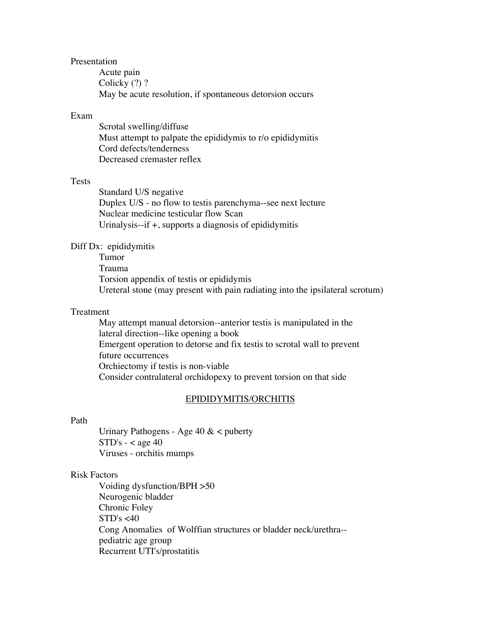#### Presentation

Acute pain Colicky (?) ? May be acute resolution, if spontaneous detorsion occurs

### Exam

Scrotal swelling/diffuse Must attempt to palpate the epididymis to r/o epididymitis Cord defects/tenderness Decreased cremaster reflex

## Tests

Standard U/S negative Duplex U/S - no flow to testis parenchyma--see next lecture Nuclear medicine testicular flow Scan Urinalysis--if +, supports a diagnosis of epididymitis

### Diff Dx: epididymitis

Tumor Trauma Torsion appendix of testis or epididymis Ureteral stone (may present with pain radiating into the ipsilateral scrotum)

# Treatment

May attempt manual detorsion--anterior testis is manipulated in the lateral direction--like opening a book Emergent operation to detorse and fix testis to scrotal wall to prevent future occurrences Orchiectomy if testis is non-viable Consider contralateral orchidopexy to prevent torsion on that side

#### EPIDIDYMITIS/ORCHITIS

# Path

Urinary Pathogens - Age 40 & < puberty  $STD's - < age 40$ Viruses - orchitis mumps

#### Risk Factors

Voiding dysfunction/BPH >50 Neurogenic bladder Chronic Foley  $STD's < 40$ Cong Anomalies of Wolffian structures or bladder neck/urethra- pediatric age group Recurrent UTI's/prostatitis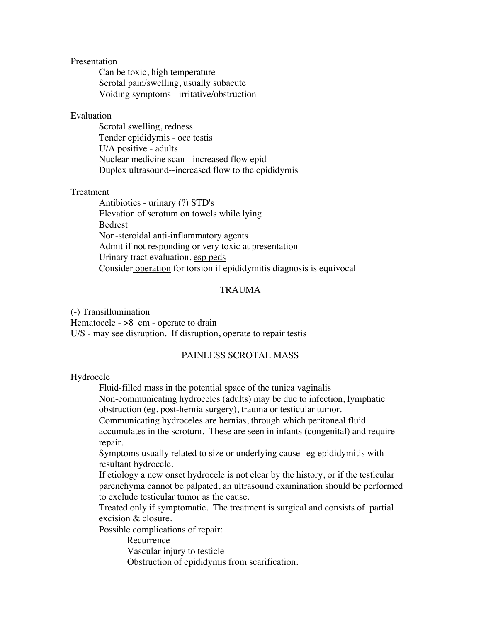### Presentation

Can be toxic, high temperature Scrotal pain/swelling, usually subacute Voiding symptoms - irritative/obstruction

## Evaluation

Scrotal swelling, redness Tender epididymis - occ testis U/A positive - adults Nuclear medicine scan - increased flow epid Duplex ultrasound--increased flow to the epididymis

### **Treatment**

Antibiotics - urinary (?) STD's Elevation of scrotum on towels while lying Bedrest Non-steroidal anti-inflammatory agents Admit if not responding or very toxic at presentation Urinary tract evaluation, esp peds Consider operation for torsion if epididymitis diagnosis is equivocal

## TRAUMA

(-) Transillumination Hematocele  $>$ 8 cm - operate to drain U/S - may see disruption. If disruption, operate to repair testis

## PAINLESS SCROTAL MASS

#### Hydrocele

Fluid-filled mass in the potential space of the tunica vaginalis Non-communicating hydroceles (adults) may be due to infection, lymphatic obstruction (eg, post-hernia surgery), trauma or testicular tumor.

Communicating hydroceles are hernias, through which peritoneal fluid

accumulates in the scrotum. These are seen in infants (congenital) and require repair.

Symptoms usually related to size or underlying cause--eg epididymitis with resultant hydrocele.

If etiology a new onset hydrocele is not clear by the history, or if the testicular parenchyma cannot be palpated, an ultrasound examination should be performed to exclude testicular tumor as the cause.

Treated only if symptomatic. The treatment is surgical and consists of partial excision & closure.

Possible complications of repair:

Recurrence

Vascular injury to testicle

Obstruction of epididymis from scarification.